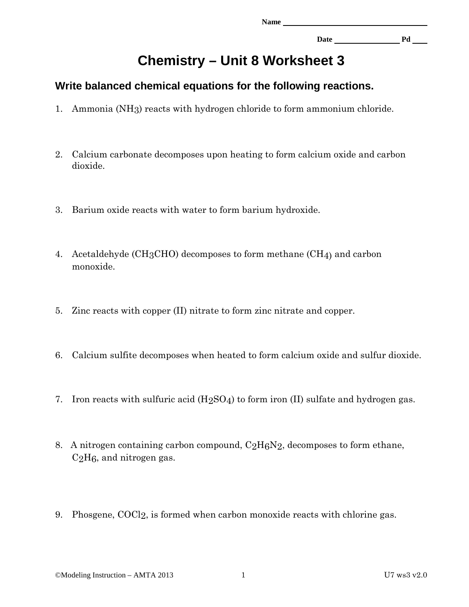**Date Pd** 

## **Chemistry – Unit 8 Worksheet 3**

## **Write balanced chemical equations for the following reactions.**

- 1. Ammonia (NH3) reacts with hydrogen chloride to form ammonium chloride.
- 2. Calcium carbonate decomposes upon heating to form calcium oxide and carbon dioxide.
- 3. Barium oxide reacts with water to form barium hydroxide.
- 4. Acetaldehyde (CH3CHO) decomposes to form methane (CH4) and carbon monoxide.
- 5. Zinc reacts with copper (II) nitrate to form zinc nitrate and copper.
- 6. Calcium sulfite decomposes when heated to form calcium oxide and sulfur dioxide.
- 7. Iron reacts with sulfuric acid  $(H_2SO_4)$  to form iron (II) sulfate and hydrogen gas.
- 8. A nitrogen containing carbon compound,  $C_2H_6N_2$ , decomposes to form ethane,  $C_2H_6$ , and nitrogen gas.
- 9. Phosgene, COCl2, is formed when carbon monoxide reacts with chlorine gas.